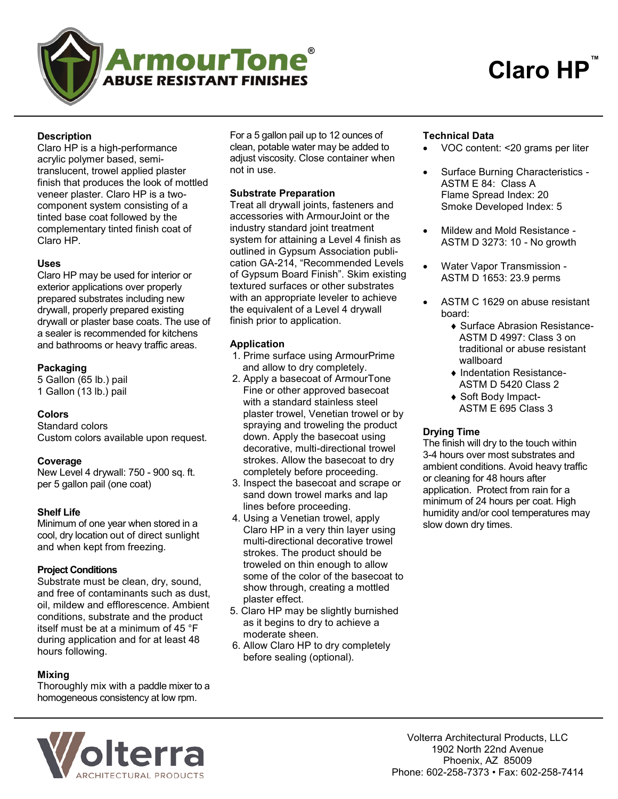

# **Description**

Claro HP is a high-performance acrylic polymer based, semitranslucent, trowel applied plaster finish that produces the look of mottled veneer plaster. Claro HP is a twocomponent system consisting of a tinted base coat followed by the complementary tinted finish coat of Claro HP.

## **Uses**

Claro HP may be used for interior or exterior applications over properly prepared substrates including new drywall, properly prepared existing drywall or plaster base coats. The use of a sealer is recommended for kitchens and bathrooms or heavy traffic areas.

## **Packaging**

5 Gallon (65 lb.) pail 1 Gallon (13 lb.) pail

## **Colors**

Standard colors Custom colors available upon request.

#### **Coverage**

New Level 4 drywall: 750 - 900 sq. ft. per 5 gallon pail (one coat)

## **Shelf Life**

Minimum of one year when stored in a cool, dry location out of direct sunlight and when kept from freezing.

#### **Project Conditions**

Substrate must be clean, dry, sound, and free of contaminants such as dust, oil, mildew and efflorescence. Ambient conditions, substrate and the product itself must be at a minimum of 45 °F during application and for at least 48 hours following.

## **Mixing**

Thoroughly mix with a paddle mixer to a homogeneous consistency at low rpm.

For a 5 gallon pail up to 12 ounces of clean, potable water may be added to adjust viscosity. Close container when not in use.

## **Substrate Preparation**

Treat all drywall joints, fasteners and accessories with ArmourJoint or the industry standard joint treatment system for attaining a Level 4 finish as outlined in Gypsum Association publication GA-214, "Recommended Levels of Gypsum Board Finish". Skim existing textured surfaces or other substrates with an appropriate leveler to achieve the equivalent of a Level 4 drywall finish prior to application.

## **Application**

- 1. Prime surface using ArmourPrime and allow to dry completely.
- 2. Apply a basecoat of ArmourTone Fine or other approved basecoat with a standard stainless steel plaster trowel, Venetian trowel or by spraying and troweling the product down. Apply the basecoat using decorative, multi-directional trowel strokes. Allow the basecoat to dry completely before proceeding.
- 3. Inspect the basecoat and scrape or sand down trowel marks and lap lines before proceeding.
- 4. Using a Venetian trowel, apply Claro HP in a very thin layer using multi-directional decorative trowel strokes. The product should be troweled on thin enough to allow some of the color of the basecoat to show through, creating a mottled plaster effect.
- 5. Claro HP may be slightly burnished as it begins to dry to achieve a moderate sheen.
- 6. Allow Claro HP to dry completely before sealing (optional).

## **Technical Data**

- VOC content: <20 grams per liter
- Surface Burning Characteristics -ASTM E 84: Class A Flame Spread Index: 20 Smoke Developed Index: 5
- Mildew and Mold Resistance ASTM D 3273: 10 - No growth
- Water Vapor Transmission ASTM D 1653: 23.9 perms
- ASTM C 1629 on abuse resistant board:
	- ◆ Surface Abrasion Resistance-ASTM D 4997: Class 3 on traditional or abuse resistant wallboard
	- Indentation Resistance-ASTM D 5420 Class 2
	- ◆ Soft Body Impact-ASTM E 695 Class 3

#### **Drying Time**

The finish will dry to the touch within 3-4 hours over most substrates and ambient conditions. Avoid heavy traffic or cleaning for 48 hours after application. Protect from rain for a minimum of 24 hours per coat. High humidity and/or cool temperatures may slow down dry times.



Volterra Architectural Products, LLC 1902 North 22nd Avenue Phoenix, AZ 85009 Phone: 602-258-7373 • Fax: 602-258-7414